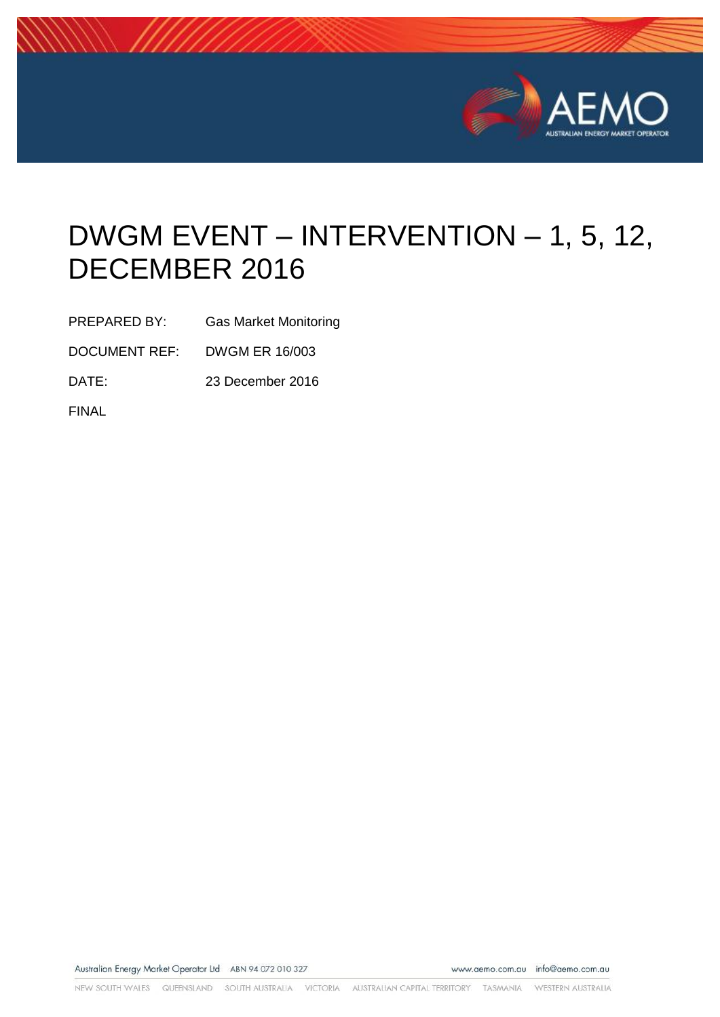

# DWGM EVENT – INTERVENTION – 1, 5, 12, DECEMBER 2016

PREPARED BY: Gas Market Monitoring

DOCUMENT REF: DWGM ER 16/003

DATE: 23 December 2016

FINAL

Australian Energy Market Operator Ltd ABN 94 072 010 327

www.aemo.com.au info@aemo.com.au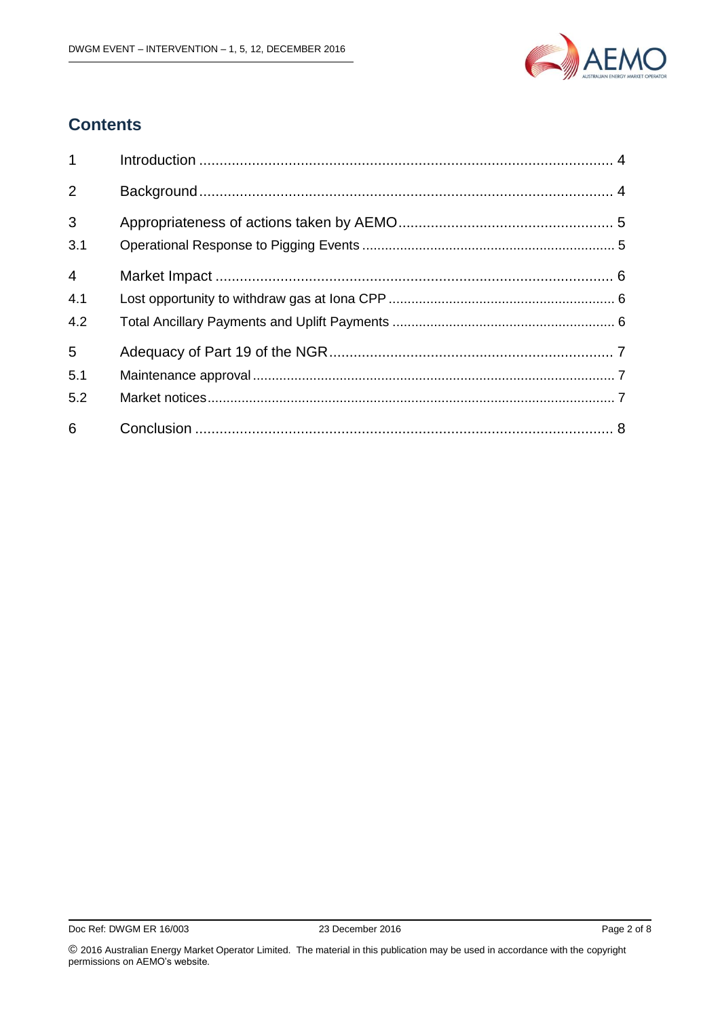

# **Contents**

| $1 \quad$             |  |
|-----------------------|--|
| 2                     |  |
| $\mathfrak{S}$<br>3.1 |  |
| $\overline{4}$<br>4.1 |  |
| 4.2<br>5              |  |
| 5.1<br>5.2            |  |
| 6                     |  |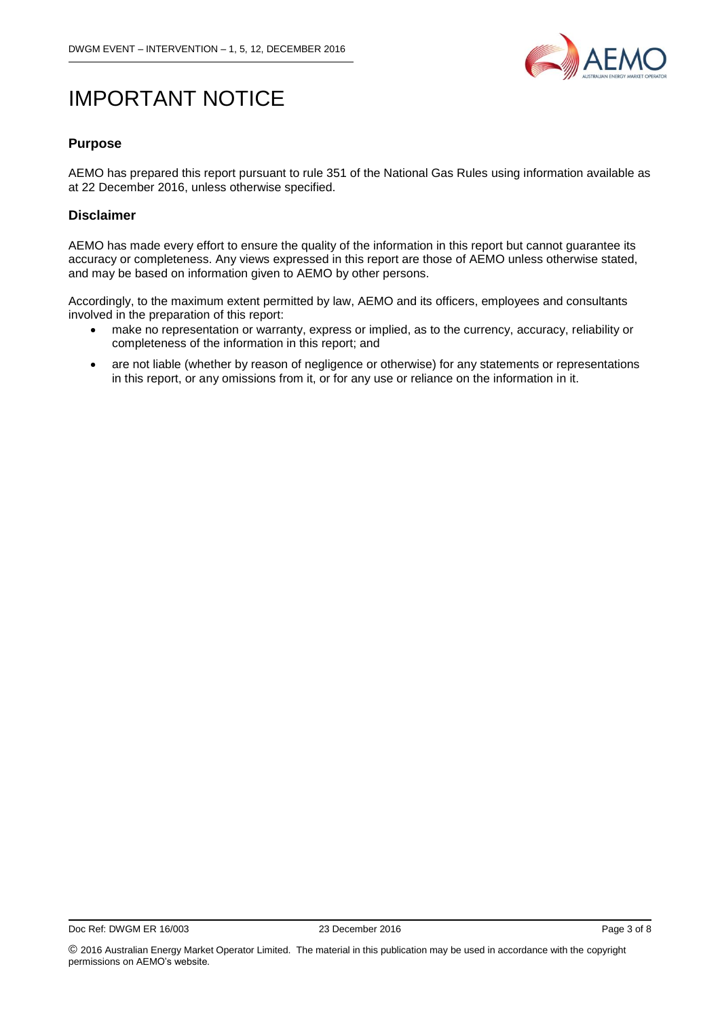

# IMPORTANT NOTICE

#### **Purpose**

AEMO has prepared this report pursuant to rule 351 of the National Gas Rules using information available as at 22 December 2016, unless otherwise specified.

#### **Disclaimer**

AEMO has made every effort to ensure the quality of the information in this report but cannot guarantee its accuracy or completeness. Any views expressed in this report are those of AEMO unless otherwise stated, and may be based on information given to AEMO by other persons.

Accordingly, to the maximum extent permitted by law, AEMO and its officers, employees and consultants involved in the preparation of this report:

- make no representation or warranty, express or implied, as to the currency, accuracy, reliability or completeness of the information in this report; and
- are not liable (whether by reason of negligence or otherwise) for any statements or representations in this report, or any omissions from it, or for any use or reliance on the information in it.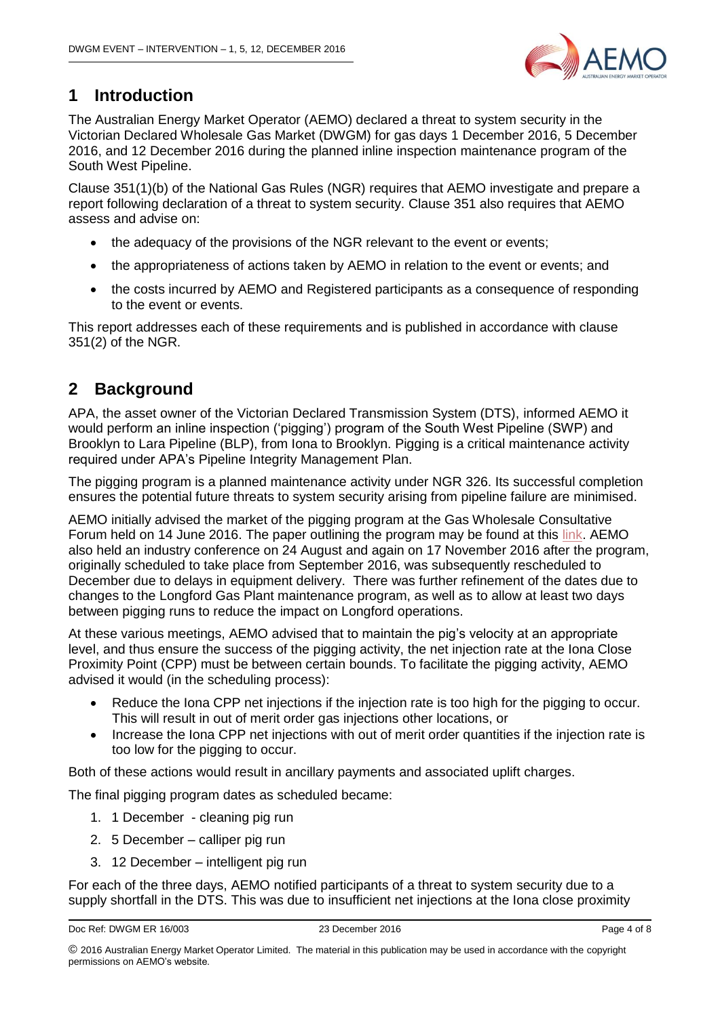

# <span id="page-3-0"></span>**1 Introduction**

The Australian Energy Market Operator (AEMO) declared a threat to system security in the Victorian Declared Wholesale Gas Market (DWGM) for gas days 1 December 2016, 5 December 2016, and 12 December 2016 during the planned inline inspection maintenance program of the South West Pipeline.

Clause 351(1)(b) of the National Gas Rules (NGR) requires that AEMO investigate and prepare a report following declaration of a threat to system security. Clause 351 also requires that AEMO assess and advise on:

- the adequacy of the provisions of the NGR relevant to the event or events;
- the appropriateness of actions taken by AEMO in relation to the event or events; and
- the costs incurred by AEMO and Registered participants as a consequence of responding to the event or events.

This report addresses each of these requirements and is published in accordance with clause 351(2) of the NGR.

# <span id="page-3-1"></span>**2 Background**

APA, the asset owner of the Victorian Declared Transmission System (DTS), informed AEMO it would perform an inline inspection ('pigging') program of the South West Pipeline (SWP) and Brooklyn to Lara Pipeline (BLP), from Iona to Brooklyn. Pigging is a critical maintenance activity required under APA's Pipeline Integrity Management Plan.

The pigging program is a planned maintenance activity under NGR 326. Its successful completion ensures the potential future threats to system security arising from pipeline failure are minimised.

AEMO initially advised the market of the pigging program at the Gas Wholesale Consultative Forum held on 14 June 2016. The paper outlining the program may be found at this [link.](http://www.aemo.com.au/Stakeholder-Consultation/Industry-forums-and-working-groups/Wholesale-meetings/Gas-Wholesale-Consultative-Forum) AEMO also held an industry conference on 24 August and again on 17 November 2016 after the program, originally scheduled to take place from September 2016, was subsequently rescheduled to December due to delays in equipment delivery. There was further refinement of the dates due to changes to the Longford Gas Plant maintenance program, as well as to allow at least two days between pigging runs to reduce the impact on Longford operations.

At these various meetings, AEMO advised that to maintain the pig's velocity at an appropriate level, and thus ensure the success of the pigging activity, the net injection rate at the Iona Close Proximity Point (CPP) must be between certain bounds. To facilitate the pigging activity, AEMO advised it would (in the scheduling process):

- Reduce the Iona CPP net injections if the injection rate is too high for the pigging to occur. This will result in out of merit order gas injections other locations, or
- Increase the Iona CPP net injections with out of merit order quantities if the injection rate is too low for the pigging to occur.

Both of these actions would result in ancillary payments and associated uplift charges.

The final pigging program dates as scheduled became:

- 1. 1 December cleaning pig run
- 2. 5 December calliper pig run
- 3. 12 December intelligent pig run

For each of the three days, AEMO notified participants of a threat to system security due to a supply shortfall in the DTS. This was due to insufficient net injections at the Iona close proximity

<sup>©</sup> 2016 Australian Energy Market Operator Limited. The material in this publication may be used in accordance with the [copyright](http://www.aemo.com.au/en/About-AEMO/Copyright-Permissions)  [permissions](http://www.aemo.com.au/en/About-AEMO/Copyright-Permissions) on AEMO's website.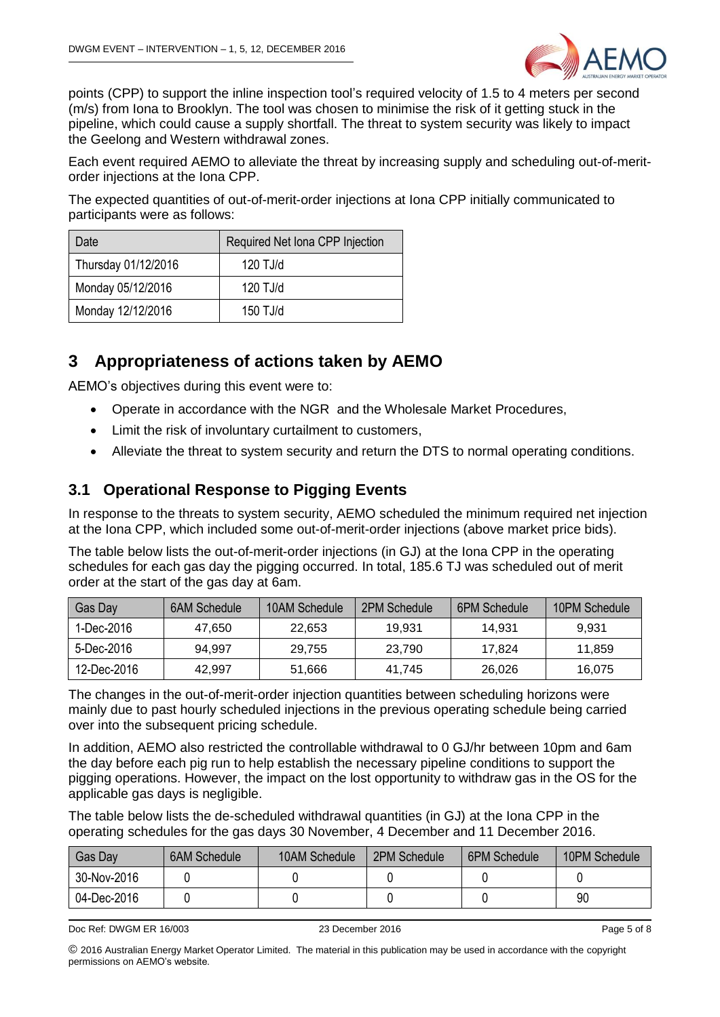

points (CPP) to support the inline inspection tool's required velocity of 1.5 to 4 meters per second (m/s) from Iona to Brooklyn. The tool was chosen to minimise the risk of it getting stuck in the pipeline, which could cause a supply shortfall. The threat to system security was likely to impact the Geelong and Western withdrawal zones.

Each event required AEMO to alleviate the threat by increasing supply and scheduling out-of-meritorder injections at the Iona CPP.

The expected quantities of out-of-merit-order injections at Iona CPP initially communicated to participants were as follows:

| Date                | Required Net Iona CPP Injection |  |  |
|---------------------|---------------------------------|--|--|
| Thursday 01/12/2016 | $120$ TJ/d                      |  |  |
| Monday 05/12/2016   | $120$ TJ/d                      |  |  |
| Monday 12/12/2016   | $150$ TJ/d                      |  |  |

# <span id="page-4-0"></span>**3 Appropriateness of actions taken by AEMO**

AEMO's objectives during this event were to:

- Operate in accordance with the NGR and the Wholesale Market Procedures,
- Limit the risk of involuntary curtailment to customers,
- Alleviate the threat to system security and return the DTS to normal operating conditions.

#### <span id="page-4-1"></span>**3.1 Operational Response to Pigging Events**

In response to the threats to system security, AEMO scheduled the minimum required net injection at the Iona CPP, which included some out-of-merit-order injections (above market price bids).

The table below lists the out-of-merit-order injections (in GJ) at the Iona CPP in the operating schedules for each gas day the pigging occurred. In total, 185.6 TJ was scheduled out of merit order at the start of the gas day at 6am.

| Gas Day     | 6AM Schedule | 10AM Schedule | 2PM Schedule | 6PM Schedule | 10PM Schedule |
|-------------|--------------|---------------|--------------|--------------|---------------|
| 1-Dec-2016  | 47.650       | 22.653        | 19,931       | 14.931       | 9.931         |
| 5-Dec-2016  | 94.997       | 29.755        | 23.790       | 17.824       | 11.859        |
| 12-Dec-2016 | 42.997       | 51,666        | 41.745       | 26,026       | 16.075        |

The changes in the out-of-merit-order injection quantities between scheduling horizons were mainly due to past hourly scheduled injections in the previous operating schedule being carried over into the subsequent pricing schedule.

In addition, AEMO also restricted the controllable withdrawal to 0 GJ/hr between 10pm and 6am the day before each pig run to help establish the necessary pipeline conditions to support the pigging operations. However, the impact on the lost opportunity to withdraw gas in the OS for the applicable gas days is negligible.

The table below lists the de-scheduled withdrawal quantities (in GJ) at the Iona CPP in the operating schedules for the gas days 30 November, 4 December and 11 December 2016.

| Gas Day     | <b>6AM Schedule</b> | 10AM Schedule | 2PM Schedule | 6PM Schedule | 10PM Schedule |
|-------------|---------------------|---------------|--------------|--------------|---------------|
| 30-Nov-2016 |                     |               |              |              |               |
| 04-Dec-2016 |                     |               |              |              | 90            |

Doc Ref: DWGM ER 16/003 23 December 2016 Page 5 of 8

© 2016 Australian Energy Market Operator Limited. The material in this publication may be used in accordance with the [copyright](http://www.aemo.com.au/en/About-AEMO/Copyright-Permissions)  [permissions](http://www.aemo.com.au/en/About-AEMO/Copyright-Permissions) on AEMO's website.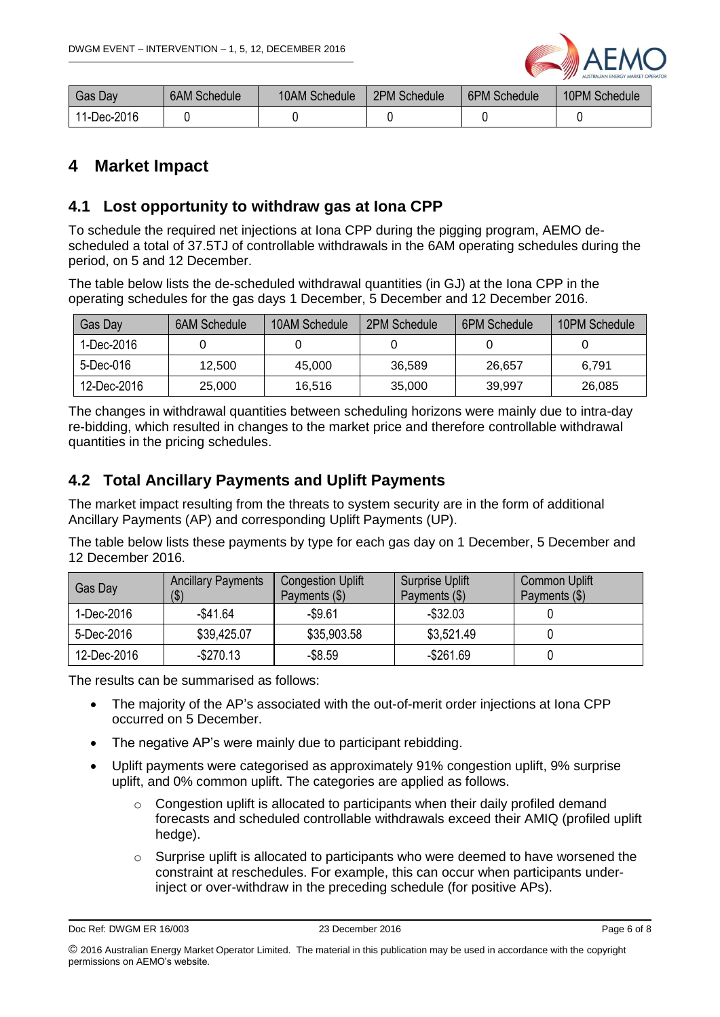

| Gas Dav     | 6AM Schedule | 10AM Schedule | 2PM Schedule | <b>6PM Schedule</b> | 10PM Schedule |
|-------------|--------------|---------------|--------------|---------------------|---------------|
| 11-Dec-2016 |              |               |              |                     |               |

### <span id="page-5-0"></span>**4 Market Impact**

#### <span id="page-5-1"></span>**4.1 Lost opportunity to withdraw gas at Iona CPP**

To schedule the required net injections at Iona CPP during the pigging program, AEMO descheduled a total of 37.5TJ of controllable withdrawals in the 6AM operating schedules during the period, on 5 and 12 December.

The table below lists the de-scheduled withdrawal quantities (in GJ) at the Iona CPP in the operating schedules for the gas days 1 December, 5 December and 12 December 2016.

| Gas Day     | <b>6AM Schedule</b> | 10AM Schedule | 2PM Schedule | <b>6PM Schedule</b> | 10PM Schedule |
|-------------|---------------------|---------------|--------------|---------------------|---------------|
| 1-Dec-2016  |                     |               |              |                     |               |
| 5-Dec-016   | 12.500              | 45,000        | 36,589       | 26.657              | 6.791         |
| 12-Dec-2016 | 25,000              | 16,516        | 35,000       | 39,997              | 26,085        |

The changes in withdrawal quantities between scheduling horizons were mainly due to intra-day re-bidding, which resulted in changes to the market price and therefore controllable withdrawal quantities in the pricing schedules.

#### <span id="page-5-2"></span>**4.2 Total Ancillary Payments and Uplift Payments**

The market impact resulting from the threats to system security are in the form of additional Ancillary Payments (AP) and corresponding Uplift Payments (UP).

The table below lists these payments by type for each gas day on 1 December, 5 December and 12 December 2016.

| Gas Day     | <b>Ancillary Payments</b><br>( \$ ) | <b>Congestion Uplift</b><br>Payments $(\$)$ | <b>Surprise Uplift</b><br>Payments (\$) | <b>Common Uplift</b><br>Payments (\$) |
|-------------|-------------------------------------|---------------------------------------------|-----------------------------------------|---------------------------------------|
| 1-Dec-2016  | $-$41.64$                           | $-$9.61$                                    | $-$ \$32.03                             |                                       |
| 5-Dec-2016  | \$39,425.07                         | \$35,903.58                                 | \$3,521.49                              |                                       |
| 12-Dec-2016 | $-$ \$270.13                        | $-$ \$8.59                                  | $-$ \$261.69                            |                                       |

The results can be summarised as follows:

- The majority of the AP's associated with the out-of-merit order injections at Iona CPP occurred on 5 December.
- The negative AP's were mainly due to participant rebidding.
- Uplift payments were categorised as approximately 91% congestion uplift, 9% surprise uplift, and 0% common uplift. The categories are applied as follows.
	- o Congestion uplift is allocated to participants when their daily profiled demand forecasts and scheduled controllable withdrawals exceed their AMIQ (profiled uplift hedge).
	- Surprise uplift is allocated to participants who were deemed to have worsened the constraint at reschedules. For example, this can occur when participants underinject or over-withdraw in the preceding schedule (for positive APs).

Doc Ref: DWGM ER 16/003 23 December 2016 Page 6 of 8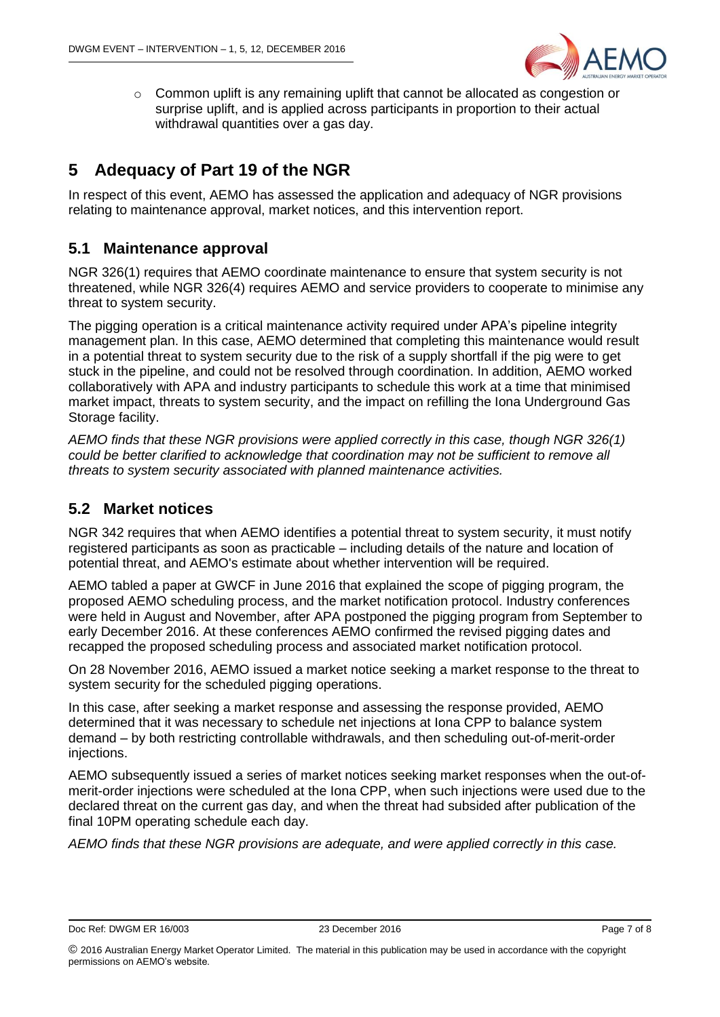

o Common uplift is any remaining uplift that cannot be allocated as congestion or surprise uplift, and is applied across participants in proportion to their actual withdrawal quantities over a gas day.

# <span id="page-6-0"></span>**5 Adequacy of Part 19 of the NGR**

In respect of this event, AEMO has assessed the application and adequacy of NGR provisions relating to maintenance approval, market notices, and this intervention report.

#### <span id="page-6-1"></span>**5.1 Maintenance approval**

NGR 326(1) requires that AEMO coordinate maintenance to ensure that system security is not threatened, while NGR 326(4) requires AEMO and service providers to cooperate to minimise any threat to system security.

The pigging operation is a critical maintenance activity required under APA's pipeline integrity management plan. In this case, AEMO determined that completing this maintenance would result in a potential threat to system security due to the risk of a supply shortfall if the pig were to get stuck in the pipeline, and could not be resolved through coordination. In addition, AEMO worked collaboratively with APA and industry participants to schedule this work at a time that minimised market impact, threats to system security, and the impact on refilling the Iona Underground Gas Storage facility.

*AEMO finds that these NGR provisions were applied correctly in this case, though NGR 326(1) could be better clarified to acknowledge that coordination may not be sufficient to remove all threats to system security associated with planned maintenance activities.* 

#### <span id="page-6-2"></span>**5.2 Market notices**

NGR 342 requires that when AEMO identifies a potential threat to system security, it must notify registered participants as soon as practicable – including details of the nature and location of potential threat, and AEMO's estimate about whether intervention will be required.

AEMO tabled a paper at GWCF in June 2016 that explained the scope of pigging program, the proposed AEMO scheduling process, and the market notification protocol. Industry conferences were held in August and November, after APA postponed the pigging program from September to early December 2016. At these conferences AEMO confirmed the revised pigging dates and recapped the proposed scheduling process and associated market notification protocol.

On 28 November 2016, AEMO issued a market notice seeking a market response to the threat to system security for the scheduled pigging operations.

In this case, after seeking a market response and assessing the response provided, AEMO determined that it was necessary to schedule net injections at Iona CPP to balance system demand – by both restricting controllable withdrawals, and then scheduling out-of-merit-order injections.

AEMO subsequently issued a series of market notices seeking market responses when the out-ofmerit-order injections were scheduled at the Iona CPP, when such injections were used due to the declared threat on the current gas day, and when the threat had subsided after publication of the final 10PM operating schedule each day.

*AEMO finds that these NGR provisions are adequate, and were applied correctly in this case.*

Doc Ref: DWGM ER 16/003 23 December 2016 2016